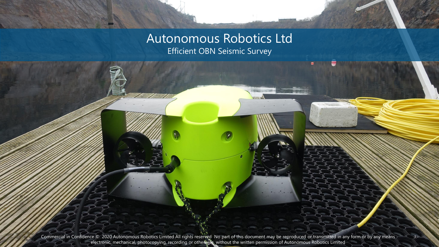#### Autonomous Robotics Ltd Efficient OBN Seismic Survey

Commercial in Confidence © 2020 Autonomous Robotics Limited All rights reserved No part of this document may be reproduced or transmitted in any form or by any means electronic, mechanical, photocopying, recording or otherwise, without the written permission of Autonomous Robotics Limited

1.-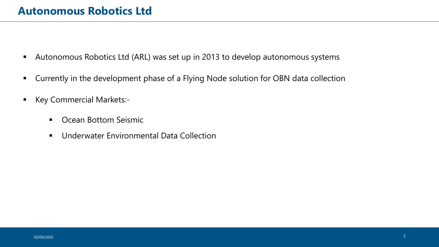- Autonomous Robotics Ltd (ARL) was set up in 2013 to develop autonomous systems
- **E** Currently in the development phase of a Flying Node solution for OBN data collection
- Key Commercial Markets:-
	- Ocean Bottom Seismic
	- Underwater Environmental Data Collection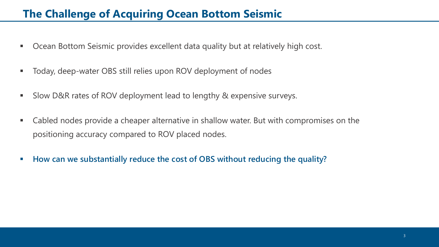#### **The Challenge of Acquiring Ocean Bottom Seismic**

- Ocean Bottom Seismic provides excellent data quality but at relatively high cost.
- Today, deep-water OBS still relies upon ROV deployment of nodes
- Slow D&R rates of ROV deployment lead to lengthy & expensive surveys.
- Cabled nodes provide a cheaper alternative in shallow water. But with compromises on the positioning accuracy compared to ROV placed nodes.
- **How can we substantially reduce the cost of OBS without reducing the quality?**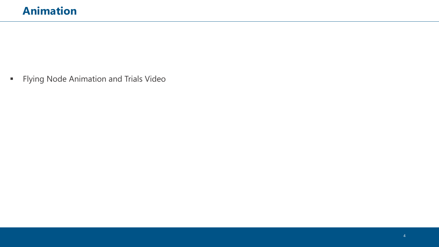**•** Flying Node Animation and Trials Video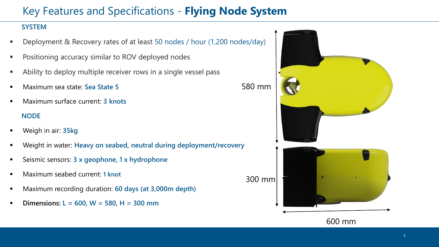# Key Features and Specifications - **Flying Node System**

#### **SYSTEM**

- Deployment & Recovery rates of at least 50 nodes / hour (1,200 nodes/day)
- Positioning accuracy similar to ROV deployed nodes
- Ability to deploy multiple receiver rows in a single vessel pass
- Maximum sea state: **Sea State 5**
- Maximum surface current: **3 knots NODE**
- Weigh in air: **35kg**
- Weight in water: Heavy on seabed, neutral during deployment/recovery
- Seismic sensors: 3 x geophone, 1 x hydrophone
- **Maximum seabed current: 1 knot**
- Maximum recording duration: **60 days (at 3,000m depth)**
- **Dimensions: L** = 600, W = 580, H = 300 mm

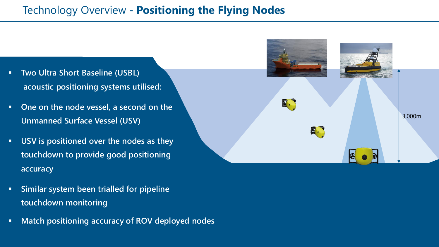## **Fechnology Overview - Positioning the Flying Nodes**

- **Two Ultra Short Baseline (USBL) acoustic positioning systems utilised:**
- **One on the node vessel, a second on the Unmanned Surface Vessel (USV)**
- **USV is positioned over the nodes as they touchdown to provide good positioning accuracy**



▪ **Match positioning accuracy of ROV deployed nodes**

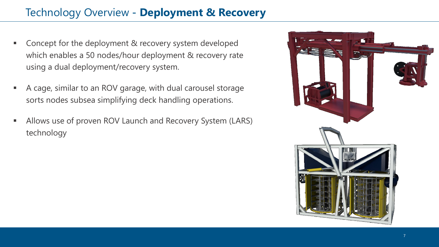## **7echnology Overview - Deployment & Recovery**

- Concept for the deployment & recovery system developed which enables a 50 nodes/hour deployment & recovery rate using a dual deployment/recovery system.
- A cage, similar to an ROV garage, with dual carousel storage sorts nodes subsea simplifying deck handling operations.
- **EXECT** Allows use of proven ROV Launch and Recovery System (LARS) technology

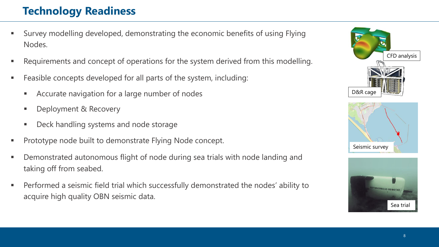## **1. Technology Readiness**

- Survey modelling developed, demonstrating the economic benefits of using Flying Nodes.
- Requirements and concept of operations for the system derived from this modelling.
- Feasible concepts developed for all parts of the system, including:
	- Accurate navigation for a large number of nodes
	- Deployment & Recovery
	- Deck handling systems and node storage
- Prototype node built to demonstrate Flying Node concept.
- Demonstrated autonomous flight of node during sea trials with node landing and taking off from seabed.
- Performed a seismic field trial which successfully demonstrated the nodes' ability to acquire high quality OBN seismic data.



Sea trial